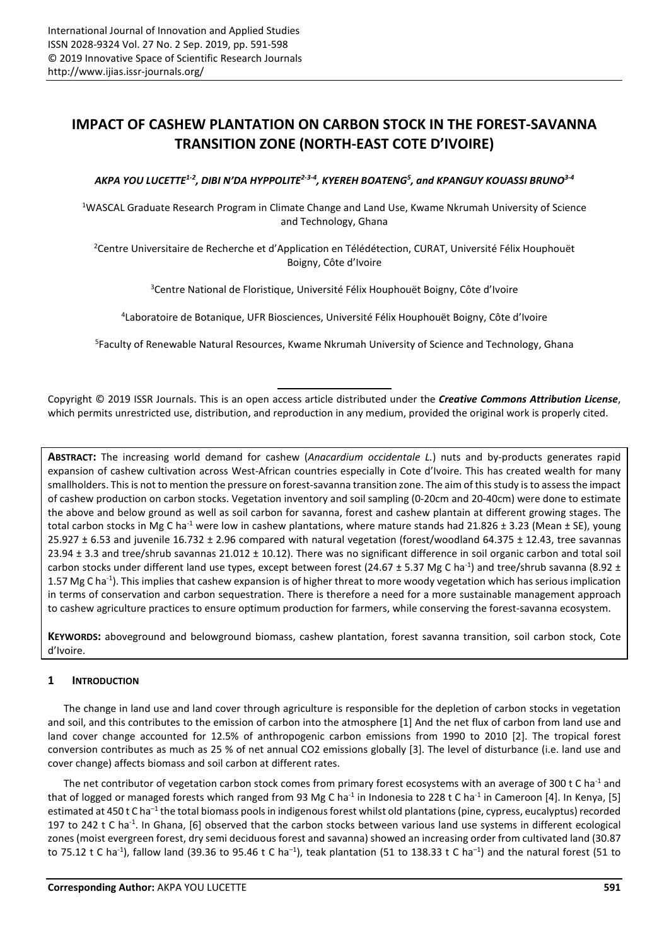# **IMPACT OF CASHEW PLANTATION ON CARBON STOCK IN THE FOREST-SAVANNA TRANSITION ZONE (NORTH-EAST COTE D'IVOIRE)**

*AKPA YOU LUCETTE1-2, DIBI N'DA HYPPOLITE2-3-4, KYEREH BOATENG<sup>5</sup> , and KPANGUY KOUASSI BRUNO3-4*

<sup>1</sup>WASCAL Graduate Research Program in Climate Change and Land Use, Kwame Nkrumah University of Science and Technology, Ghana

<sup>2</sup>Centre Universitaire de Recherche et d'Application en Télédétection, CURAT, Université Félix Houphouët Boigny, Côte d'Ivoire

<sup>3</sup>Centre National de Floristique, Université Félix Houphouët Boigny, Côte d'Ivoire

4 Laboratoire de Botanique, UFR Biosciences, Université Félix Houphouët Boigny, Côte d'Ivoire

<sup>5</sup>Faculty of Renewable Natural Resources, Kwame Nkrumah University of Science and Technology, Ghana

Copyright © 2019 ISSR Journals. This is an open access article distributed under the *Creative Commons Attribution License*, which permits unrestricted use, distribution, and reproduction in any medium, provided the original work is properly cited.

**ABSTRACT:** The increasing world demand for cashew (*Anacardium occidentale L.*) nuts and by-products generates rapid expansion of cashew cultivation across West-African countries especially in Cote d'Ivoire. This has created wealth for many smallholders. This is not to mention the pressure on forest-savanna transition zone. The aim of this study is to assess the impact of cashew production on carbon stocks. Vegetation inventory and soil sampling (0-20cm and 20-40cm) were done to estimate the above and below ground as well as soil carbon for savanna, forest and cashew plantain at different growing stages. The total carbon stocks in Mg C ha<sup>-1</sup> were low in cashew plantations, where mature stands had 21.826  $\pm$  3.23 (Mean  $\pm$  SE), young 25.927 ± 6.53 and juvenile 16.732 ± 2.96 compared with natural vegetation (forest/woodland 64.375 ± 12.43, tree savannas 23.94 ± 3.3 and tree/shrub savannas 21.012 ± 10.12). There was no significant difference in soil organic carbon and total soil carbon stocks under different land use types, except between forest (24.67  $\pm$  5.37 Mg C ha<sup>-1</sup>) and tree/shrub savanna (8.92  $\pm$ 1.57 Mg C ha<sup>-1</sup>). This implies that cashew expansion is of higher threat to more woody vegetation which has serious implication in terms of conservation and carbon sequestration. There is therefore a need for a more sustainable management approach to cashew agriculture practices to ensure optimum production for farmers, while conserving the forest-savanna ecosystem.

**KEYWORDS:** aboveground and belowground biomass, cashew plantation, forest savanna transition, soil carbon stock, Cote d'Ivoire.

# **1 INTRODUCTION**

The change in land use and land cover through agriculture is responsible for the depletion of carbon stocks in vegetation and soil, and this contributes to the emission of carbon into the atmosphere [1] And the net flux of carbon from land use and land cover change accounted for 12.5% of anthropogenic carbon emissions from 1990 to 2010 [2]. The tropical forest conversion contributes as much as 25 % of net annual CO2 emissions globally [3]. The level of disturbance (i.e. land use and cover change) affects biomass and soil carbon at different rates.

The net contributor of vegetation carbon stock comes from primary forest ecosystems with an average of 300 t C ha<sup>-1</sup> and that of logged or managed forests which ranged from 93 Mg C ha<sup>-1</sup> in Indonesia to 228 t C ha<sup>-1</sup> in Cameroon [4]. In Kenya, [5] estimated at 450 t C ha<sup>-1</sup> the total biomass pools in indigenous forest whilst old plantations (pine, cypress, eucalyptus) recorded 197 to 242 t C ha-1. In Ghana, [6] observed that the carbon stocks between various land use systems in different ecological zones (moist evergreen forest, dry semi deciduous forest and savanna) showed an increasing order from cultivated land (30.87 to 75.12 t C ha<sup>-1</sup>), fallow land (39.36 to 95.46 t C ha<sup>-1</sup>), teak plantation (51 to 138.33 t C ha<sup>-1</sup>) and the natural forest (51 to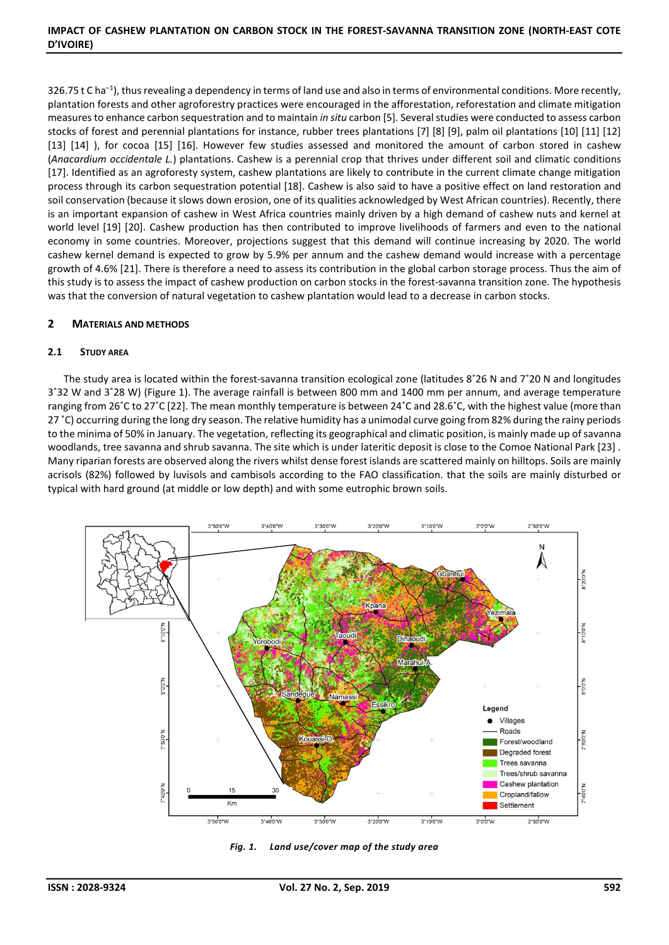326.75 t C ha<sup>-1</sup>), thus revealing a dependency in terms of land use and also in terms of environmental conditions. More recently, plantation forests and other agroforestry practices were encouraged in the afforestation, reforestation and climate mitigation measures to enhance carbon sequestration and to maintain *in situ* carbon [5]. Several studies were conducted to assess carbon stocks of forest and perennial plantations for instance, rubber trees plantations [7] [8] [9], palm oil plantations [10] [11] [12] [13] [14] ), for cocoa [15] [16]. However few studies assessed and monitored the amount of carbon stored in cashew (*Anacardium occidentale L.*) plantations. Cashew is a perennial crop that thrives under different soil and climatic conditions [17]. Identified as an agroforesty system, cashew plantations are likely to contribute in the current climate change mitigation process through its carbon sequestration potential [18]. Cashew is also said to have a positive effect on land restoration and soil conservation (because it slows down erosion, one of its qualities acknowledged by West African countries). Recently, there is an important expansion of cashew in West Africa countries mainly driven by a high demand of cashew nuts and kernel at world level [19] [20]. Cashew production has then contributed to improve livelihoods of farmers and even to the national economy in some countries. Moreover, projections suggest that this demand will continue increasing by 2020. The world cashew kernel demand is expected to grow by 5.9% per annum and the cashew demand would increase with a percentage growth of 4.6% [21]. There is therefore a need to assess its contribution in the global carbon storage process. Thus the aim of this study is to assess the impact of cashew production on carbon stocks in the forest-savanna transition zone. The hypothesis was that the conversion of natural vegetation to cashew plantation would lead to a decrease in carbon stocks.

# **2 MATERIALS AND METHODS**

## **2.1 STUDY AREA**

The study area is located within the forest-savanna transition ecological zone (latitudes 8°26 N and 7°20 N and longitudes 3˚32 W and 3˚28 W) (Figure 1). The average rainfall is between 800 mm and 1400 mm per annum, and average temperature ranging from 26˚C to 27˚C [22]. The mean monthly temperature is between 24˚C and 28.6˚C, with the highest value (more than 27 °C) occurring during the long dry season. The relative humidity has a unimodal curve going from 82% during the rainy periods to the minima of 50% in January. The vegetation, reflecting its geographical and climatic position, is mainly made up of savanna woodlands, tree savanna and shrub savanna. The site which is under lateritic deposit is close to the Comoe National Park [23] . Many riparian forests are observed along the rivers whilst dense forest islands are scattered mainly on hilltops. Soils are mainly acrisols (82%) followed by luvisols and cambisols according to the FAO classification. that the soils are mainly disturbed or typical with hard ground (at middle or low depth) and with some eutrophic brown soils.



*Fig. 1. Land use/cover map of the study area*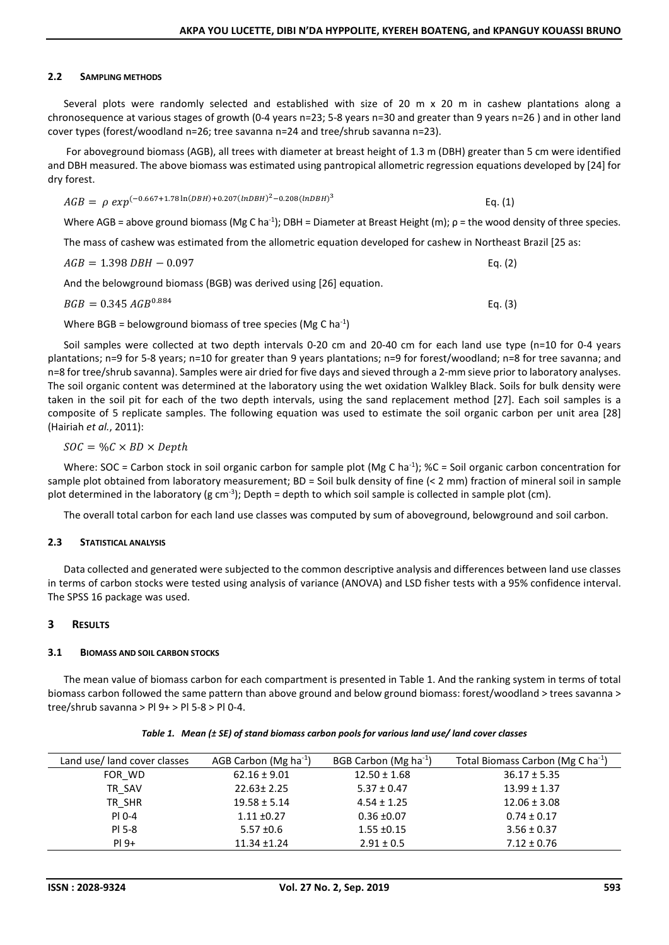## **2.2 SAMPLING METHODS**

Several plots were randomly selected and established with size of 20 m x 20 m in cashew plantations along a chronosequence at various stages of growth (0-4 years n=23; 5-8 years n=30 and greater than 9 years n=26 ) and in other land cover types (forest/woodland n=26; tree savanna n=24 and tree/shrub savanna n=23).

 For aboveground biomass (AGB), all trees with diameter at breast height of 1.3 m (DBH) greater than 5 cm were identified and DBH measured. The above biomass was estimated using pantropical allometric regression equations developed by [24] for dry forest.

$$
AGB = \rho \exp^{(-0.667 + 1.78 \ln(DBH) + 0.207 (lnDBH)^{2} - 0.208 (lnDBH)^{3}}
$$
 Eq. (1)

Where AGB = above ground biomass (Mg C ha<sup>-1</sup>); DBH = Diameter at Breast Height (m);  $p =$  the wood density of three species.

The mass of cashew was estimated from the allometric equation developed for cashew in Northeast Brazil [25 as:

| AGB = 1.398 DBH - 0.097 | Eq. $(2)$ |
|-------------------------|-----------|
|                         |           |

And the belowground biomass (BGB) was derived using [26] equation.

| Eq. $(3)$ |  |
|-----------|--|
|           |  |

Where BGB = belowground biomass of tree species (Mg C ha<sup>-1</sup>)

Soil samples were collected at two depth intervals 0-20 cm and 20-40 cm for each land use type (n=10 for 0-4 years plantations; n=9 for 5-8 years; n=10 for greater than 9 years plantations; n=9 for forest/woodland; n=8 for tree savanna; and n=8 for tree/shrub savanna). Samples were air dried for five days and sieved through a 2-mm sieve prior to laboratory analyses. The soil organic content was determined at the laboratory using the wet oxidation Walkley Black. Soils for bulk density were taken in the soil pit for each of the two depth intervals, using the sand replacement method [27]. Each soil samples is a composite of 5 replicate samples. The following equation was used to estimate the soil organic carbon per unit area [28] (Hairiah *et al.*, 2011):

$$
SOC = \%C \times BD \times Depth
$$

Where: SOC = Carbon stock in soil organic carbon for sample plot (Mg C ha<sup>-1</sup>); %C = Soil organic carbon concentration for sample plot obtained from laboratory measurement; BD = Soil bulk density of fine (< 2 mm) fraction of mineral soil in sample plot determined in the laboratory (g cm<sup>-3</sup>); Depth = depth to which soil sample is collected in sample plot (cm).

The overall total carbon for each land use classes was computed by sum of aboveground, belowground and soil carbon.

## **2.3 STATISTICAL ANALYSIS**

Data collected and generated were subjected to the common descriptive analysis and differences between land use classes in terms of carbon stocks were tested using analysis of variance (ANOVA) and LSD fisher tests with a 95% confidence interval. The SPSS 16 package was used.

## **3 RESULTS**

## **3.1 BIOMASS AND SOIL CARBON STOCKS**

The mean value of biomass carbon for each compartment is presented in Table 1. And the ranking system in terms of total biomass carbon followed the same pattern than above ground and below ground biomass: forest/woodland > trees savanna > tree/shrub savanna > Pl 9+ > Pl 5-8 > Pl 0-4.

|  |  |  | Table 1. Mean (± SE) of stand biomass carbon pools for various land use/ land cover classes |
|--|--|--|---------------------------------------------------------------------------------------------|
|--|--|--|---------------------------------------------------------------------------------------------|

| Land use/ land cover classes | AGB Carbon (Mg ha $^{-1}$ ) | BGB Carbon (Mg ha $^{-1}$ ) | Total Biomass Carbon (Mg C ha <sup>-1</sup> ) |
|------------------------------|-----------------------------|-----------------------------|-----------------------------------------------|
| FOR_WD                       | $62.16 \pm 9.01$            | $12.50 \pm 1.68$            | $36.17 \pm 5.35$                              |
| TR SAV                       | $22.63 \pm 2.25$            | $5.37 \pm 0.47$             | $13.99 \pm 1.37$                              |
| TR SHR                       | $19.58 \pm 5.14$            | $4.54 \pm 1.25$             | $12.06 \pm 3.08$                              |
| PI 0-4                       | $1.11 \pm 0.27$             | $0.36 \pm 0.07$             | $0.74 \pm 0.17$                               |
| PI 5-8                       | $5.57 \pm 0.6$              | $1.55 \pm 0.15$             | $3.56 \pm 0.37$                               |
| $PI9+$                       | $11.34 \pm 1.24$            | $2.91 \pm 0.5$              | $7.12 \pm 0.76$                               |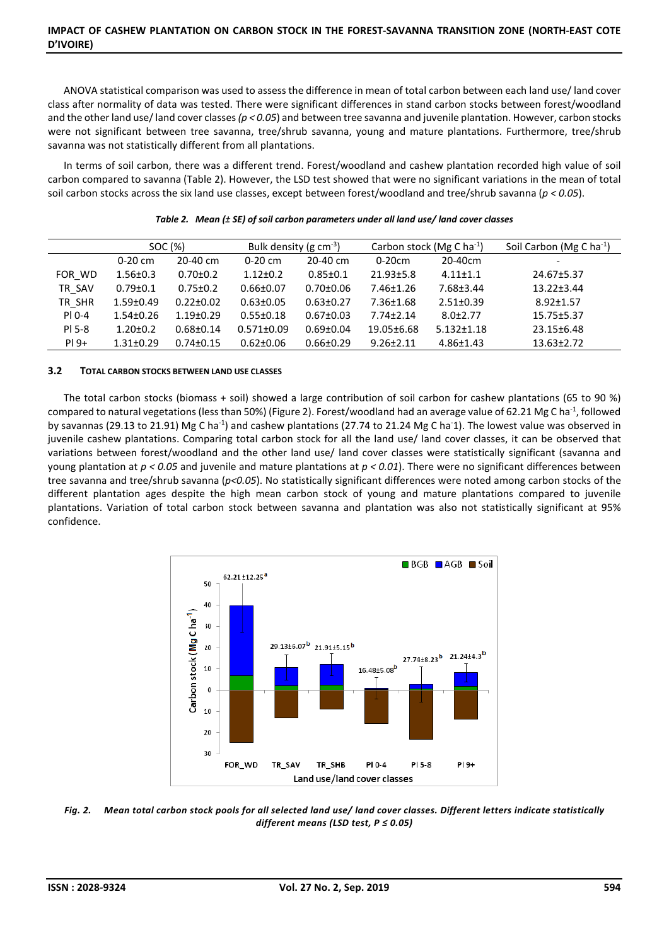## **IMPACT OF CASHEW PLANTATION ON CARBON STOCK IN THE FOREST-SAVANNA TRANSITION ZONE (NORTH-EAST COTE D'IVOIRE)**

ANOVA statistical comparison was used to assess the difference in mean of total carbon between each land use/ land cover class after normality of data was tested. There were significant differences in stand carbon stocks between forest/woodland and the other land use/ land cover classes ( $p < 0.05$ ) and between tree savanna and juvenile plantation. However, carbon stocks were not significant between tree savanna, tree/shrub savanna, young and mature plantations. Furthermore, tree/shrub savanna was not statistically different from all plantations.

In terms of soil carbon, there was a different trend. Forest/woodland and cashew plantation recorded high value of soil carbon compared to savanna (Table 2). However, the LSD test showed that were no significant variations in the mean of total soil carbon stocks across the six land use classes, except between forest/woodland and tree/shrub savanna (*p < 0.05*).

|        |                 | SOC (%)         | Bulk density (g $cm^{-3}$ ) |                 |                 | Carbon stock (Mg C ha <sup>-1</sup> ) | Soil Carbon (Mg C ha <sup>-1</sup> ) |
|--------|-----------------|-----------------|-----------------------------|-----------------|-----------------|---------------------------------------|--------------------------------------|
|        | $0-20$ cm       | 20-40 cm        | $0-20$ cm                   | 20-40 cm        | $0-20cm$        | 20-40cm                               | $\overline{\phantom{a}}$             |
| FOR WD | $1.56 \pm 0.3$  | $0.70 \pm 0.2$  | $1.12 \pm 0.2$              | $0.85 \pm 0.1$  | $21.93 \pm 5.8$ | $4.11 \pm 1.1$                        | 24.67±5.37                           |
| TR SAV | $0.79 \pm 0.1$  | $0.75 \pm 0.2$  | $0.66 \pm 0.07$             | $0.70 \pm 0.06$ | 7.46±1.26       | $7.68 \pm 3.44$                       | $13.22 \pm 3.44$                     |
| TR SHR | $1.59 \pm 0.49$ | $0.22 \pm 0.02$ | $0.63 \pm 0.05$             | $0.63 \pm 0.27$ | $7.36 \pm 1.68$ | $2.51 \pm 0.39$                       | $8.92 \pm 1.57$                      |
| PI 0-4 | $1.54 \pm 0.26$ | $1.19 \pm 0.29$ | $0.55 \pm 0.18$             | $0.67 \pm 0.03$ | $7.74 \pm 2.14$ | $8.0 \pm 2.77$                        | 15.75±5.37                           |
| PI 5-8 | $1.20 \pm 0.2$  | $0.68 \pm 0.14$ | $0.571 \pm 0.09$            | $0.69 \pm 0.04$ | 19.05±6.68      | $5.132 \pm 1.18$                      | 23.15±6.48                           |
| $PI9+$ | $1.31 \pm 0.29$ | $0.74 \pm 0.15$ | $0.62 \pm 0.06$             | $0.66 \pm 0.29$ | $9.26 \pm 2.11$ | $4.86 \pm 1.43$                       | $13.63 \pm 2.72$                     |

|  | Table 2. Mean (± SE) of soil carbon parameters under all land use/ land cover classes |
|--|---------------------------------------------------------------------------------------|
|--|---------------------------------------------------------------------------------------|

#### **3.2 TOTAL CARBON STOCKS BETWEEN LAND USE CLASSES**

The total carbon stocks (biomass + soil) showed a large contribution of soil carbon for cashew plantations (65 to 90 %) compared to natural vegetations (less than 50%) (Figure 2). Forest/woodland had an average value of 62.21 Mg C ha-1, followed by savannas (29.13 to 21.91) Mg C ha-1) and cashew plantations (27.74 to 21.24 Mg C ha-1). The lowest value was observed in juvenile cashew plantations. Comparing total carbon stock for all the land use/ land cover classes, it can be observed that variations between forest/woodland and the other land use/ land cover classes were statistically significant (savanna and young plantation at *p < 0.05* and juvenile and mature plantations at *p < 0.01*). There were no significant differences between tree savanna and tree/shrub savanna (*p<0.05*). No statistically significant differences were noted among carbon stocks of the different plantation ages despite the high mean carbon stock of young and mature plantations compared to juvenile plantations. Variation of total carbon stock between savanna and plantation was also not statistically significant at 95% confidence.



*Fig. 2. Mean total carbon stock pools for all selected land use/ land cover classes. Different letters indicate statistically different means (LSD test, P ≤ 0.05)*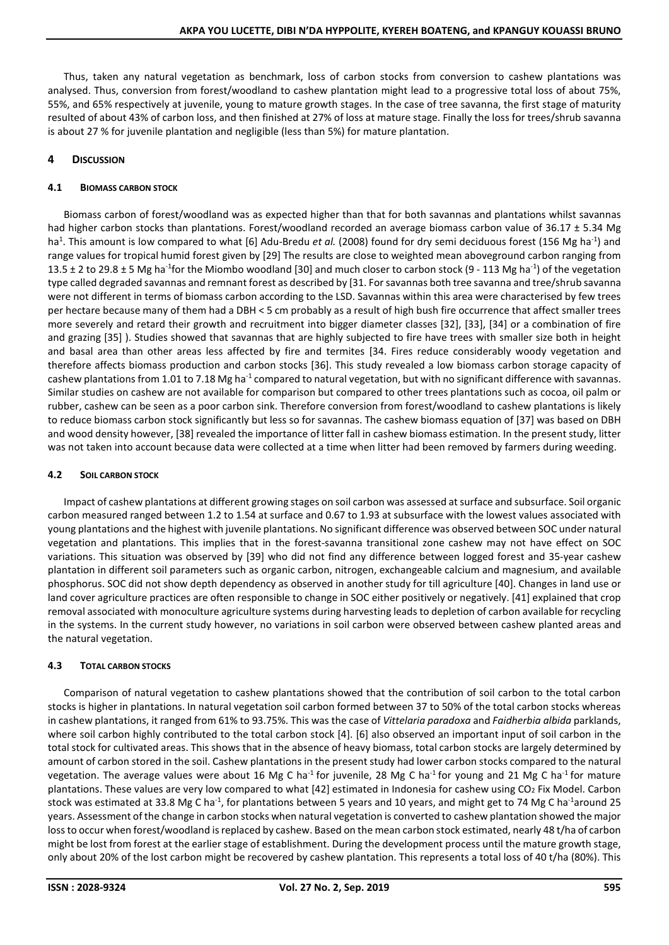Thus, taken any natural vegetation as benchmark, loss of carbon stocks from conversion to cashew plantations was analysed. Thus, conversion from forest/woodland to cashew plantation might lead to a progressive total loss of about 75%, 55%, and 65% respectively at juvenile, young to mature growth stages. In the case of tree savanna, the first stage of maturity resulted of about 43% of carbon loss, and then finished at 27% of loss at mature stage. Finally the loss for trees/shrub savanna is about 27 % for juvenile plantation and negligible (less than 5%) for mature plantation.

# **4 DISCUSSION**

# **4.1 BIOMASS CARBON STOCK**

Biomass carbon of forest/woodland was as expected higher than that for both savannas and plantations whilst savannas had higher carbon stocks than plantations. Forest/woodland recorded an average biomass carbon value of 36.17 ± 5.34 Mg ha<sup>1</sup>. This amount is low compared to what [6] Adu-Bredu *et al.* (2008) found for dry semi deciduous forest (156 Mg ha<sup>-1</sup>) and range values for tropical humid forest given by [29] The results are close to weighted mean aboveground carbon ranging from 13.5  $\pm$  2 to 29.8  $\pm$  5 Mg ha<sup>-1</sup>for the Miombo woodland [30] and much closer to carbon stock (9 - 113 Mg ha<sup>-1</sup>) of the vegetation type called degraded savannas and remnant forest as described by [31. For savannas both tree savanna and tree/shrub savanna were not different in terms of biomass carbon according to the LSD. Savannas within this area were characterised by few trees per hectare because many of them had a DBH < 5 cm probably as a result of high bush fire occurrence that affect smaller trees more severely and retard their growth and recruitment into bigger diameter classes [32], [33], [34] or a combination of fire and grazing [35] ). Studies showed that savannas that are highly subjected to fire have trees with smaller size both in height and basal area than other areas less affected by fire and termites [34. Fires reduce considerably woody vegetation and therefore affects biomass production and carbon stocks [36]. This study revealed a low biomass carbon storage capacity of cashew plantations from 1.01 to 7.18 Mg ha<sup>-1</sup> compared to natural vegetation, but with no significant difference with savannas. Similar studies on cashew are not available for comparison but compared to other trees plantations such as cocoa, oil palm or rubber, cashew can be seen as a poor carbon sink. Therefore conversion from forest/woodland to cashew plantations is likely to reduce biomass carbon stock significantly but less so for savannas. The cashew biomass equation of [37] was based on DBH and wood density however, [38] revealed the importance of litter fall in cashew biomass estimation. In the present study, litter was not taken into account because data were collected at a time when litter had been removed by farmers during weeding.

# **4.2 SOIL CARBON STOCK**

Impact of cashew plantations at different growing stages on soil carbon was assessed at surface and subsurface. Soil organic carbon measured ranged between 1.2 to 1.54 at surface and 0.67 to 1.93 at subsurface with the lowest values associated with young plantations and the highest with juvenile plantations. No significant difference was observed between SOC under natural vegetation and plantations. This implies that in the forest-savanna transitional zone cashew may not have effect on SOC variations. This situation was observed by [39] who did not find any difference between logged forest and 35-year cashew plantation in different soil parameters such as organic carbon, nitrogen, exchangeable calcium and magnesium, and available phosphorus. SOC did not show depth dependency as observed in another study for till agriculture [40]. Changes in land use or land cover agriculture practices are often responsible to change in SOC either positively or negatively. [41] explained that crop removal associated with monoculture agriculture systems during harvesting leads to depletion of carbon available for recycling in the systems. In the current study however, no variations in soil carbon were observed between cashew planted areas and the natural vegetation.

# **4.3 TOTAL CARBON STOCKS**

Comparison of natural vegetation to cashew plantations showed that the contribution of soil carbon to the total carbon stocks is higher in plantations. In natural vegetation soil carbon formed between 37 to 50% of the total carbon stocks whereas in cashew plantations, it ranged from 61% to 93.75%. This was the case of *Vittelaria paradoxa* and *Faidherbia albida* parklands, where soil carbon highly contributed to the total carbon stock [4]. [6] also observed an important input of soil carbon in the total stock for cultivated areas. This shows that in the absence of heavy biomass, total carbon stocks are largely determined by amount of carbon stored in the soil. Cashew plantations in the present study had lower carbon stocks compared to the natural vegetation. The average values were about 16 Mg C ha<sup>-1</sup> for juvenile, 28 Mg C ha<sup>-1</sup> for young and 21 Mg C ha<sup>-1</sup> for mature plantations. These values are very low compared to what [42] estimated in Indonesia for cashew using CO<sub>2</sub> Fix Model. Carbon stock was estimated at 33.8 Mg C ha<sup>-1</sup>, for plantations between 5 years and 10 years, and might get to 74 Mg C ha<sup>-1</sup>around 25 years. Assessment of the change in carbon stocks when natural vegetation is converted to cashew plantation showed the major loss to occur when forest/woodland is replaced by cashew. Based on the mean carbon stock estimated, nearly 48 t/ha of carbon might be lost from forest at the earlier stage of establishment. During the development process until the mature growth stage, only about 20% of the lost carbon might be recovered by cashew plantation. This represents a total loss of 40 t/ha (80%). This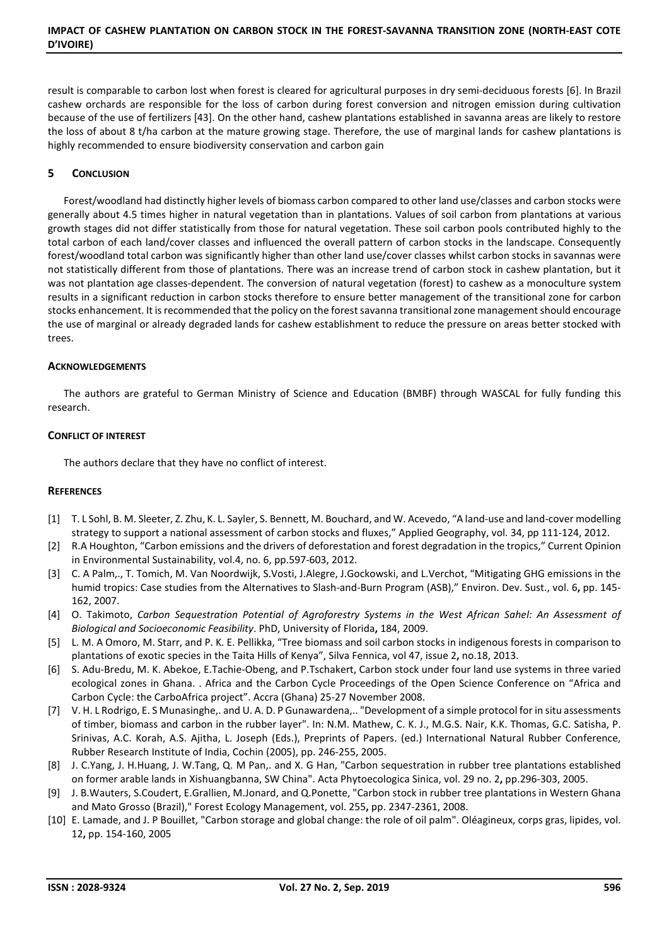result is comparable to carbon lost when forest is cleared for agricultural purposes in dry semi-deciduous forests [6]. In Brazil cashew orchards are responsible for the loss of carbon during forest conversion and nitrogen emission during cultivation because of the use of fertilizers [43]. On the other hand, cashew plantations established in savanna areas are likely to restore the loss of about 8 t/ha carbon at the mature growing stage. Therefore, the use of marginal lands for cashew plantations is highly recommended to ensure biodiversity conservation and carbon gain

# **5 CONCLUSION**

Forest/woodland had distinctly higher levels of biomass carbon compared to other land use/classes and carbon stocks were generally about 4.5 times higher in natural vegetation than in plantations. Values of soil carbon from plantations at various growth stages did not differ statistically from those for natural vegetation. These soil carbon pools contributed highly to the total carbon of each land/cover classes and influenced the overall pattern of carbon stocks in the landscape. Consequently forest/woodland total carbon was significantly higher than other land use/cover classes whilst carbon stocks in savannas were not statistically different from those of plantations. There was an increase trend of carbon stock in cashew plantation, but it was not plantation age classes-dependent. The conversion of natural vegetation (forest) to cashew as a monoculture system results in a significant reduction in carbon stocks therefore to ensure better management of the transitional zone for carbon stocks enhancement. It is recommended that the policy on the forest savanna transitional zone management should encourage the use of marginal or already degraded lands for cashew establishment to reduce the pressure on areas better stocked with trees.

## **ACKNOWLEDGEMENTS**

The authors are grateful to German Ministry of Science and Education (BMBF) through WASCAL for fully funding this research.

## **CONFLICT OF INTEREST**

The authors declare that they have no conflict of interest.

#### **REFERENCES**

- [1] T. L Sohl, B. M. Sleeter, Z. Zhu, K. L. Sayler, S. Bennett, M. Bouchard, and W. Acevedo, "A land-use and land-cover modelling strategy to support a national assessment of carbon stocks and fluxes," Applied Geography, vol. 34, pp 111-124, 2012.
- [2] R.A Houghton, "Carbon emissions and the drivers of deforestation and forest degradation in the tropics," Current Opinion in Environmental Sustainability, vol.4, no. 6, pp.597-603, 2012.
- [3] C. A Palm,., T. Tomich, M. Van Noordwijk, S.Vosti, J.Alegre, J.Gockowski, and L.Verchot, "Mitigating GHG emissions in the humid tropics: Case studies from the Alternatives to Slash-and-Burn Program (ASB)," Environ. Dev. Sust., vol. 6**,** pp. 145- 162, 2007.
- [4] O. Takimoto, *Carbon Sequestration Potential of Agroforestry Systems in the West African Sahel: An Assessment of Biological and Socioeconomic Feasibility*. PhD, University of Florida**,** 184, 2009.
- [5] L. M. A Omoro, M. Starr, and P. K. E. Pellikka, "Tree biomass and soil carbon stocks in indigenous forests in comparison to plantations of exotic species in the Taita Hills of Kenya", Silva Fennica, vol 47, issue 2**,** no.18, 2013.
- [6] S. Adu-Bredu, M. K. Abekoe, E.Tachie-Obeng, and P.Tschakert, Carbon stock under four land use systems in three varied ecological zones in Ghana. . Africa and the Carbon Cycle Proceedings of the Open Science Conference on "Africa and Carbon Cycle: the CarboAfrica project". Accra (Ghana) 25-27 November 2008.
- [7] V. H. L Rodrigo, E. S Munasinghe,. and U. A. D. P Gunawardena,.. "Development of a simple protocol for in situ assessments of timber, biomass and carbon in the rubber layer". In: N.M. Mathew, C. K. J., M.G.S. Nair, K.K. Thomas, G.C. Satisha, P. Srinivas, A.C. Korah, A.S. Ajitha, L. Joseph (Eds.), Preprints of Papers. (ed.) International Natural Rubber Conference, Rubber Research Institute of India, Cochin (2005), pp. 246-255, 2005.
- [8] J. C.Yang, J. H.Huang, J. W.Tang, Q. M Pan,. and X. G Han, "Carbon sequestration in rubber tree plantations established on former arable lands in Xishuangbanna, SW China". Acta Phytoecologica Sinica, vol. 29 no. 2**,** pp.296-303, 2005.
- [9] J. B.Wauters, S.Coudert, E.Grallien, M.Jonard, and Q.Ponette, "Carbon stock in rubber tree plantations in Western Ghana and Mato Grosso (Brazil)," Forest Ecology Management, vol. 255**,** pp. 2347-2361, 2008.
- [10] E. Lamade, and J. P Bouillet, "Carbon storage and global change: the role of oil palm". Oléagineux, corps gras, lipides, vol. 12**,** pp. 154-160, 2005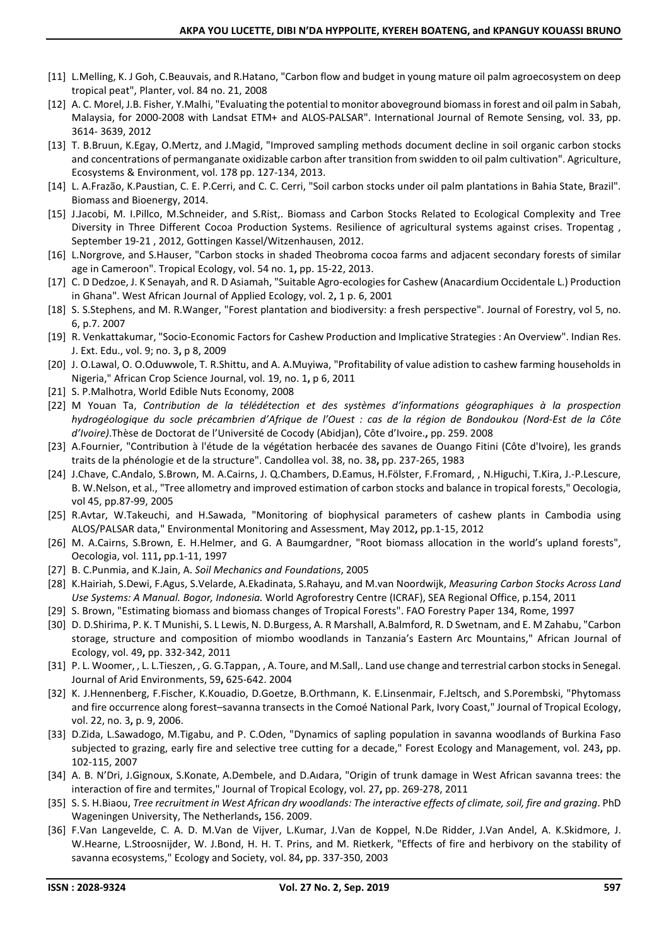- [11] L.Melling, K. J Goh, C.Beauvais, and R.Hatano, "Carbon flow and budget in young mature oil palm agroecosystem on deep tropical peat", Planter, vol. 84 no. 21, 2008
- [12] A. C. Morel, J.B. Fisher, Y.Malhi, "Evaluating the potential to monitor aboveground biomass in forest and oil palm in Sabah, Malaysia, for 2000-2008 with Landsat ETM+ and ALOS-PALSAR". International Journal of Remote Sensing, vol. 33, pp. 3614- 3639, 2012
- [13] T. B.Bruun, K.Egay, O.Mertz, and J.Magid, "Improved sampling methods document decline in soil organic carbon stocks and concentrations of permanganate oxidizable carbon after transition from swidden to oil palm cultivation". Agriculture, Ecosystems & Environment, vol. 178 pp. 127-134, 2013.
- [14] L. A.Frazão, K.Paustian, C. E. P.Cerri, and C. C. Cerri, "Soil carbon stocks under oil palm plantations in Bahia State, Brazil". Biomass and Bioenergy, 2014.
- [15] J.Jacobi, M. I.Pillco, M.Schneider, and S.Rist,. Biomass and Carbon Stocks Related to Ecological Complexity and Tree Diversity in Three Different Cocoa Production Systems. Resilience of agricultural systems against crises. Tropentag , September 19-21 , 2012, Gottingen Kassel/Witzenhausen, 2012.
- [16] L.Norgrove, and S.Hauser, "Carbon stocks in shaded Theobroma cocoa farms and adjacent secondary forests of similar age in Cameroon". Tropical Ecology, vol. 54 no. 1**,** pp. 15-22, 2013.
- [17] C. D Dedzoe, J. K Senayah, and R. D Asiamah, "Suitable Agro-ecologies for Cashew (Anacardium Occidentale L.) Production in Ghana". West African Journal of Applied Ecology, vol. 2**,** 1 p. 6, 2001
- [18] S. S.Stephens, and M. R.Wanger, "Forest plantation and biodiversity: a fresh perspective". Journal of Forestry, vol 5, no. 6, p.7. 2007
- [19] R. Venkattakumar, "Socio-Economic Factors for Cashew Production and Implicative Strategies : An Overview". Indian Res. J. Ext. Edu., vol. 9; no. 3**,** p 8, 2009
- [20] J. O.Lawal, O. O.Oduwwole, T. R.Shittu, and A. A.Muyiwa, "Profitability of value adistion to cashew farming households in Nigeria," African Crop Science Journal, vol. 19, no. 1**,** p 6, 2011
- [21] S. P.Malhotra, World Edible Nuts Economy, 2008
- [22] M Youan Ta, *Contribution de la télédétection et des systèmes d'informations géographiques à la prospection hydrogéologique du socle précambrien d'Afrique de l'Ouest : cas de la région de Bondoukou (Nord-Est de la Côte d'Ivoire)*.Thèse de Doctorat de l'Université de Cocody (Abidjan), Côte d'Ivoire.**,** pp. 259. 2008
- [23] A.Fournier, "Contribution à l'étude de la végétation herbacée des savanes de Ouango Fitini (Côte d'Ivoire), les grands traits de la phénologie et de la structure". Candollea vol. 38, no. 38**,** pp. 237-265, 1983
- [24] J.Chave, C.Andalo, S.Brown, M. A.Cairns, J. Q.Chambers, D.Eamus, H.Fölster, F.Fromard, , N.Higuchi, T.Kira, J.-P.Lescure, B. W.Nelson, et al., "Tree allometry and improved estimation of carbon stocks and balance in tropical forests," Oecologia, vol 45, pp.87-99, 2005
- [25] R.Avtar, W.Takeuchi, and H.Sawada, "Monitoring of biophysical parameters of cashew plants in Cambodia using ALOS/PALSAR data," Environmental Monitoring and Assessment, May 2012**,** pp.1-15, 2012
- [26] M. A.Cairns, S.Brown, E. H.Helmer, and G. A Baumgardner, "Root biomass allocation in the world's upland forests", Oecologia, vol. 111**,** pp.1-11, 1997
- [27] B. C.Punmia, and K.Jain, A. *Soil Mechanics and Foundations*, 2005
- [28] K.Hairiah, S.Dewi, F.Agus, S.Velarde, A.Ekadinata, S.Rahayu, and M.van Noordwijk, *Measuring Carbon Stocks Across Land Use Systems: A Manual. Bogor, Indonesia.* World Agroforestry Centre (ICRAF), SEA Regional Office, p.154, 2011
- [29] S. Brown, "Estimating biomass and biomass changes of Tropical Forests". FAO Forestry Paper 134, Rome, 1997
- [30] D. D.Shirima, P. K. T Munishi, S. L Lewis, N. D.Burgess, A. R Marshall, A.Balmford, R. D Swetnam, and E. M Zahabu, "Carbon storage, structure and composition of miombo woodlands in Tanzania's Eastern Arc Mountains," African Journal of Ecology, vol. 49**,** pp. 332-342, 2011
- [31] P. L. Woomer, , L. L.Tieszen, , G. G.Tappan, , A. Toure, and M.Sall,. Land use change and terrestrial carbon stocks in Senegal. Journal of Arid Environments, 59**,** 625-642. 2004
- [32] K. J.Hennenberg, F.Fischer, K.Kouadio, D.Goetze, B.Orthmann, K. E.Linsenmair, F.Jeltsch, and S.Porembski, "Phytomass and fire occurrence along forest–savanna transects in the Comoé National Park, Ivory Coast," Journal of Tropical Ecology, vol. 22, no. 3**,** p. 9, 2006.
- [33] D.Zida, L.Sawadogo, M.Tigabu, and P. C.Oden, "Dynamics of sapling population in savanna woodlands of Burkina Faso subjected to grazing, early fire and selective tree cutting for a decade," Forest Ecology and Management, vol. 243**,** pp. 102-115, 2007
- [34] A. B. N'Dri, J.Gignoux, S.Konate, A.Dembele, and D.Aıdara, "Origin of trunk damage in West African savanna trees: the interaction of fire and termites," Journal of Tropical Ecology, vol. 27**,** pp. 269-278, 2011
- [35] S. S. H.Biaou, *Tree recruitment in West African dry woodlands: The interactive effects of climate, soil, fire and grazing*. PhD Wageningen University, The Netherlands**,** 156. 2009.
- [36] F.Van Langevelde, C. A. D. M.Van de Vijver, L.Kumar, J.Van de Koppel, N.De Ridder, J.Van Andel, A. K.Skidmore, J. W.Hearne, L.Stroosnijder, W. J.Bond, H. H. T. Prins, and M. Rietkerk, "Effects of fire and herbivory on the stability of savanna ecosystems," Ecology and Society, vol. 84**,** pp. 337-350, 2003